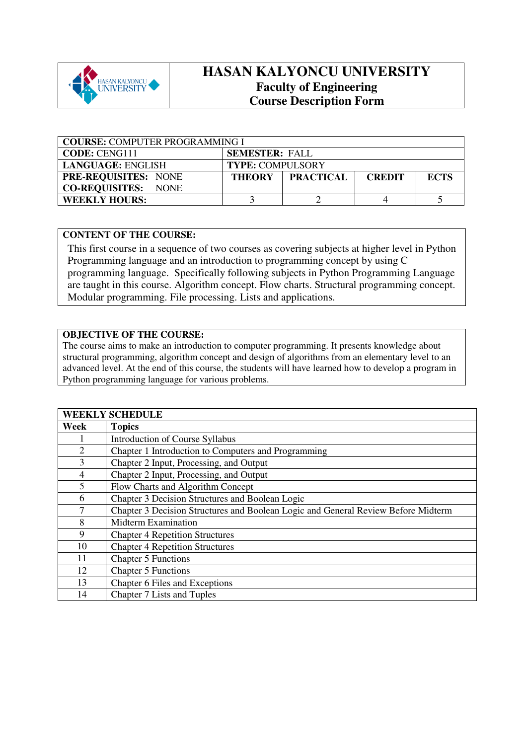

# **HASAN KALYONCU UNIVERSITY Faculty of Engineering Course Description Form**

| <b>COURSE: COMPUTER PROGRAMMING I</b> |                                                                   |  |  |  |  |
|---------------------------------------|-------------------------------------------------------------------|--|--|--|--|
| <b>CODE: CENG111</b>                  | <b>SEMESTER: FALL</b>                                             |  |  |  |  |
| <b>LANGUAGE: ENGLISH</b>              | <b>TYPE: COMPULSORY</b>                                           |  |  |  |  |
| <b>PRE-REQUISITES: NONE</b>           | <b>PRACTICAL</b><br><b>ECTS</b><br><b>THEORY</b><br><b>CREDIT</b> |  |  |  |  |
| <b>CO-REQUISITES: NONE</b>            |                                                                   |  |  |  |  |
| <b>WEEKLY HOURS:</b>                  |                                                                   |  |  |  |  |

#### **CONTENT OF THE COURSE:**

This first course in a sequence of two courses as covering subjects at higher level in Python Programming language and an introduction to programming concept by using C programming language. Specifically following subjects in Python Programming Language are taught in this course. Algorithm concept. Flow charts. Structural programming concept. Modular programming. File processing. Lists and applications.

#### **OBJECTIVE OF THE COURSE:**

The course aims to make an introduction to computer programming. It presents knowledge about structural programming, algorithm concept and design of algorithms from an elementary level to an advanced level. At the end of this course, the students will have learned how to develop a program in Python programming language for various problems.

| <b>WEEKLY SCHEDULE</b> |                                                                                   |  |  |
|------------------------|-----------------------------------------------------------------------------------|--|--|
| Week                   | <b>Topics</b>                                                                     |  |  |
| Ι.                     | Introduction of Course Syllabus                                                   |  |  |
| $\overline{2}$         | Chapter 1 Introduction to Computers and Programming                               |  |  |
| 3                      | Chapter 2 Input, Processing, and Output                                           |  |  |
| $\overline{4}$         | Chapter 2 Input, Processing, and Output                                           |  |  |
| 5                      | Flow Charts and Algorithm Concept                                                 |  |  |
| 6                      | Chapter 3 Decision Structures and Boolean Logic                                   |  |  |
| 7                      | Chapter 3 Decision Structures and Boolean Logic and General Review Before Midterm |  |  |
| 8                      | <b>Midterm Examination</b>                                                        |  |  |
| 9                      | <b>Chapter 4 Repetition Structures</b>                                            |  |  |
| 10                     | <b>Chapter 4 Repetition Structures</b>                                            |  |  |
| 11                     | <b>Chapter 5 Functions</b>                                                        |  |  |
| 12                     | <b>Chapter 5 Functions</b>                                                        |  |  |
| 13                     | Chapter 6 Files and Exceptions                                                    |  |  |
| 14                     | Chapter 7 Lists and Tuples                                                        |  |  |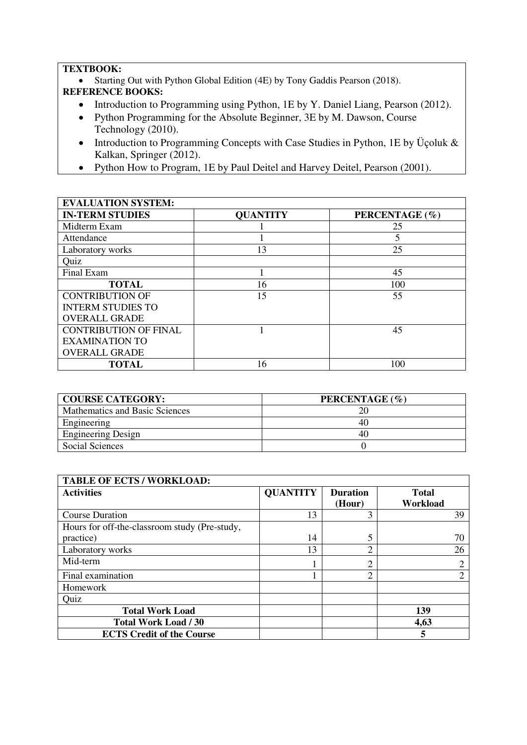### **TEXTBOOK:**

Starting Out with Python Global Edition (4E) by Tony Gaddis Pearson (2018).

## **REFERENCE BOOKS:**

- Introduction to Programming using Python, 1E by Y. Daniel Liang, Pearson (2012).
- Python Programming for the Absolute Beginner, 3E by M. Dawson, Course Technology (2010).
- Introduction to Programming Concepts with Case Studies in Python, 1E by Üçoluk & Kalkan, Springer (2012).
- Python How to Program, 1E by Paul Deitel and Harvey Deitel, Pearson (2001).

| <b>EVALUATION SYSTEM:</b>    |                 |                |  |  |  |
|------------------------------|-----------------|----------------|--|--|--|
| <b>IN-TERM STUDIES</b>       | <b>QUANTITY</b> | PERCENTAGE (%) |  |  |  |
| Midterm Exam                 |                 | 25             |  |  |  |
| Attendance                   |                 | 5              |  |  |  |
| Laboratory works             | 13              | 25             |  |  |  |
| Quiz                         |                 |                |  |  |  |
| Final Exam                   |                 | 45             |  |  |  |
| <b>TOTAL</b>                 | 16              | 100            |  |  |  |
| <b>CONTRIBUTION OF</b>       | 15              | 55             |  |  |  |
| <b>INTERM STUDIES TO</b>     |                 |                |  |  |  |
| <b>OVERALL GRADE</b>         |                 |                |  |  |  |
| <b>CONTRIBUTION OF FINAL</b> |                 | 45             |  |  |  |
| <b>EXAMINATION TO</b>        |                 |                |  |  |  |
| <b>OVERALL GRADE</b>         |                 |                |  |  |  |
| <b>TOTAL</b>                 | 16              | 100            |  |  |  |

| <b>COURSE CATEGORY:</b>        | PERCENTAGE (%) |
|--------------------------------|----------------|
| Mathematics and Basic Sciences |                |
| Engineering                    | 40             |
| <b>Engineering Design</b>      | 40             |
| Social Sciences                |                |

| <b>TABLE OF ECTS / WORKLOAD:</b>              |                 |                           |                          |
|-----------------------------------------------|-----------------|---------------------------|--------------------------|
| <b>Activities</b>                             | <b>QUANTITY</b> | <b>Duration</b><br>(Hour) | <b>Total</b><br>Workload |
| <b>Course Duration</b>                        | 13              | 3                         | 39                       |
| Hours for off-the-classroom study (Pre-study, |                 |                           |                          |
| practice)                                     | 14              | 5                         | 70                       |
| Laboratory works                              | 13              | C                         | 26                       |
| Mid-term                                      |                 | C                         | 2                        |
| Final examination                             |                 | ↑                         | $\overline{2}$           |
| Homework                                      |                 |                           |                          |
| Quiz                                          |                 |                           |                          |
| <b>Total Work Load</b>                        |                 |                           | 139                      |
| <b>Total Work Load / 30</b>                   |                 |                           | 4,63                     |
| <b>ECTS Credit of the Course</b>              |                 |                           | 5                        |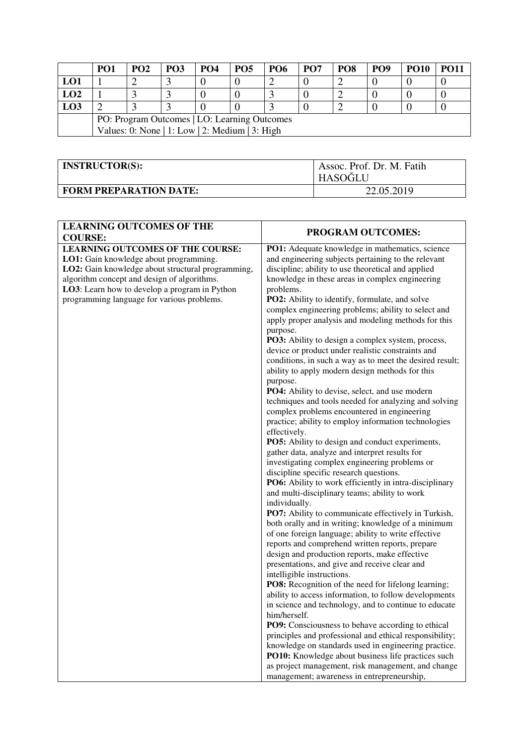|                                                | PO <sub>1</sub>                              | PO <sub>2</sub> | <b>PO3</b> | PO <sub>4</sub> | PO <sub>5</sub> | <b>PO6</b> | PO <sub>7</sub> | PO <sub>8</sub> | PO <sub>9</sub> | <b>PO10</b> | <b>PO11</b> |
|------------------------------------------------|----------------------------------------------|-----------------|------------|-----------------|-----------------|------------|-----------------|-----------------|-----------------|-------------|-------------|
| LO1                                            |                                              |                 |            |                 |                 |            |                 |                 |                 |             |             |
| LO2                                            |                                              |                 |            |                 |                 |            |                 |                 |                 |             |             |
| L <sub>03</sub>                                |                                              |                 |            |                 |                 |            |                 |                 |                 |             |             |
|                                                | PO: Program Outcomes   LO: Learning Outcomes |                 |            |                 |                 |            |                 |                 |                 |             |             |
| Values: 0: None   1: Low   2: Medium   3: High |                                              |                 |            |                 |                 |            |                 |                 |                 |             |             |

| <b>INSTRUCTOR(S):</b>         | Assoc. Prof. Dr. M. Fatih<br><b>HASOĞLU</b> |
|-------------------------------|---------------------------------------------|
| <b>FORM PREPARATION DATE:</b> | 22.05.2019                                  |

| <b>LEARNING OUTCOMES OF THE</b><br><b>COURSE:</b>                                                                                                                                                                                                                                    | PROGRAM OUTCOMES:                                                                                                                                                                                                                                                                                                                                                                                                                                                                                                                                                                                                                                                                                                                                                                                                                                                                                                                                                                                                                                                                                                                                                                                                                                                                                                                                                                                                                                                                                                                                                                                                                                                                                                                                                                                                                                                                                                                                                                                                                                                                              |
|--------------------------------------------------------------------------------------------------------------------------------------------------------------------------------------------------------------------------------------------------------------------------------------|------------------------------------------------------------------------------------------------------------------------------------------------------------------------------------------------------------------------------------------------------------------------------------------------------------------------------------------------------------------------------------------------------------------------------------------------------------------------------------------------------------------------------------------------------------------------------------------------------------------------------------------------------------------------------------------------------------------------------------------------------------------------------------------------------------------------------------------------------------------------------------------------------------------------------------------------------------------------------------------------------------------------------------------------------------------------------------------------------------------------------------------------------------------------------------------------------------------------------------------------------------------------------------------------------------------------------------------------------------------------------------------------------------------------------------------------------------------------------------------------------------------------------------------------------------------------------------------------------------------------------------------------------------------------------------------------------------------------------------------------------------------------------------------------------------------------------------------------------------------------------------------------------------------------------------------------------------------------------------------------------------------------------------------------------------------------------------------------|
| <b>LEARNING OUTCOMES OF THE COURSE:</b><br>LO1: Gain knowledge about programming.<br>LO2: Gain knowledge about structural programming,<br>algorithm concept and design of algorithms.<br>LO3: Learn how to develop a program in Python<br>programming language for various problems. | PO1: Adequate knowledge in mathematics, science<br>and engineering subjects pertaining to the relevant<br>discipline; ability to use theoretical and applied<br>knowledge in these areas in complex engineering<br>problems.<br>PO2: Ability to identify, formulate, and solve<br>complex engineering problems; ability to select and<br>apply proper analysis and modeling methods for this<br>purpose.<br>PO3: Ability to design a complex system, process,<br>device or product under realistic constraints and<br>conditions, in such a way as to meet the desired result;<br>ability to apply modern design methods for this<br>purpose.<br>PO4: Ability to devise, select, and use modern<br>techniques and tools needed for analyzing and solving<br>complex problems encountered in engineering<br>practice; ability to employ information technologies<br>effectively.<br>PO5: Ability to design and conduct experiments,<br>gather data, analyze and interpret results for<br>investigating complex engineering problems or<br>discipline specific research questions.<br>PO6: Ability to work efficiently in intra-disciplinary<br>and multi-disciplinary teams; ability to work<br>individually.<br>PO7: Ability to communicate effectively in Turkish,<br>both orally and in writing; knowledge of a minimum<br>of one foreign language; ability to write effective<br>reports and comprehend written reports, prepare<br>design and production reports, make effective<br>presentations, and give and receive clear and<br>intelligible instructions.<br>PO8: Recognition of the need for lifelong learning;<br>ability to access information, to follow developments<br>in science and technology, and to continue to educate<br>him/herself.<br>PO9: Consciousness to behave according to ethical<br>principles and professional and ethical responsibility;<br>knowledge on standards used in engineering practice.<br>PO10: Knowledge about business life practices such<br>as project management, risk management, and change<br>management; awareness in entrepreneurship, |